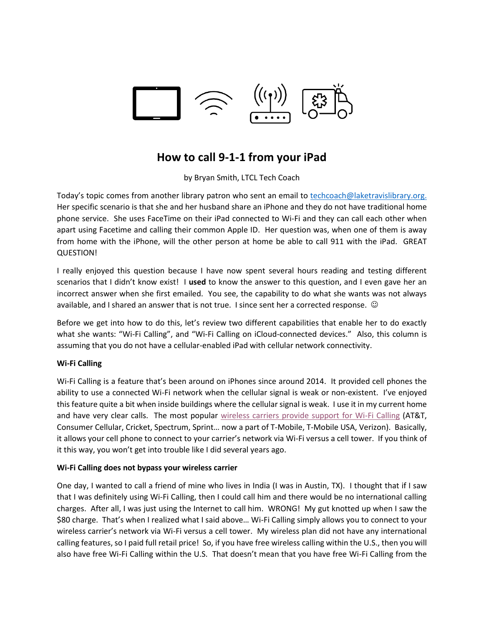

# **How to call 9-1-1 from your iPad**

by Bryan Smith, LTCL Tech Coach

Today's topic comes from another library patron who sent an email to [techcoach@laketravislibrary.org.](mailto:techcoach@laketravislibrary.org) Her specific scenario is that she and her husband share an iPhone and they do not have traditional home phone service. She uses FaceTime on their iPad connected to Wi-Fi and they can call each other when apart using Facetime and calling their common Apple ID. Her question was, when one of them is away from home with the iPhone, will the other person at home be able to call 911 with the iPad. GREAT QUESTION!

I really enjoyed this question because I have now spent several hours reading and testing different scenarios that I didn't know exist! I **used** to know the answer to this question, and I even gave her an incorrect answer when she first emailed. You see, the capability to do what she wants was not always available, and I shared an answer that is not true. I since sent her a corrected response.  $\circledcirc$ 

Before we get into how to do this, let's review two different capabilities that enable her to do exactly what she wants: "Wi-Fi Calling", and "Wi-Fi Calling on iCloud-connected devices." Also, this column is assuming that you do not have a cellular-enabled iPad with cellular network connectivity.

## **Wi-Fi Calling**

Wi-Fi Calling is a feature that's been around on iPhones since around 2014. It provided cell phones the ability to use a connected Wi-Fi network when the cellular signal is weak or non-existent. I've enjoyed this feature quite a bit when inside buildings where the cellular signal is weak. I use it in my current home and have very clear calls. The most popular [wireless carriers provide support for Wi-Fi Calling](https://support.apple.com/en-us/HT204039#usa) (AT&T, Consumer Cellular, Cricket, Spectrum, Sprint… now a part of T-Mobile, T-Mobile USA, Verizon). Basically, it allows your cell phone to connect to your carrier's network via Wi-Fi versus a cell tower. If you think of it this way, you won't get into trouble like I did several years ago.

## **Wi-Fi Calling does not bypass your wireless carrier**

One day, I wanted to call a friend of mine who lives in India (I was in Austin, TX). I thought that if I saw that I was definitely using Wi-Fi Calling, then I could call him and there would be no international calling charges. After all, I was just using the Internet to call him. WRONG! My gut knotted up when I saw the \$80 charge. That's when I realized what I said above… Wi-Fi Calling simply allows you to connect to your wireless carrier's network via Wi-Fi versus a cell tower. My wireless plan did not have any international calling features, so I paid full retail price! So, if you have free wireless calling within the U.S., then you will also have free Wi-Fi Calling within the U.S. That doesn't mean that you have free Wi-Fi Calling from the